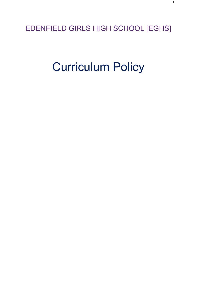EDENFIELD GIRLS HIGH SCHOOL [EGHS]

# Curriculum Policy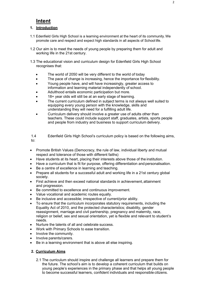# **Intent**

# **1. Introduction**

- 1.1 Edenfield Girls High School is a learning environment at the heart of its community.We promote care and respect and expect high standards in all aspects of School life.
- 1.2 Our aim is to meet the needs of young people by preparing them for adult and working life in the 21st century.
- 1.3 The educational vision and curriculum design for Edenfield Girls High School recognises that:
	- The world of 2050 will be very different to the world of today
	- The pace of change is increasing, hence the importance for flexibility.
	- Young people have, and will have increasingly, greater access to information and learning material independently of school.
	- Adulthood entails economic participation but more.
	- 18+ year olds will still be at an early stage of learning.
	- The current curriculum defined in subject terms is not always well suited to equipping every young person with the knowledge, skills and understanding they will need for a fulfilling adult life.
	- Curriculum delivery should involve a greater use of adults other than teachers. These could include support staff, graduates, artists, sports people and people from industry and business to support curriculum delivery.

1.4 Edenfield Girls High School's curriculum policy is based on the following aims, to:

- Promote British Values (Democracy, the rule of law, individual liberty and mutual respect and tolerance of those with different faiths)
- Have students at its heart, placing their interests above those of the institution.
- Have a curriculum that is fit for purpose, offering differentiation and personalisation.
- Be a centre of excellence in learning and teaching.
- Prepare all students for a successful adult and working life in a 21st century global society.
- First achieve and then exceed national standards in achievement, attainment and progression.
- Be committed to excellence and continuous improvement.
- Value vocational and academic routes equally.
- Be inclusive and accessible; irrespective of current/prior ability.
- To ensure that the curriculum incorporates statutory requirements, including the Equality Act of 2010, and the protected characteristics; disability, gender reassignment, marriage and civil partnership, pregnancy and maternity, race, religion or belief, sex and sexual orientation, yet is flexible and relevant to student's needs.
- Nurture the talents of all and celebrate success.
- Work with Primary Schools to ease transition.
- Involve the community.
- Involve parents/carers.
- Be in a learning environment that is above all else inspiring.

## **2. Curriculum Aims**

2.1 The curriculum should inspire and challenge all learners and prepare them for the future. The school's aim is to develop a coherent curriculum that builds on young people's experiences in the primary phase and that helps all young people to become successful learners, confident individuals and responsible citizens.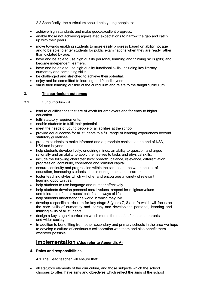2.2 Specifically, the curriculum should help young people to:

- achieve high standards and make good/excellent progress.
- enable those not achieving age-related expectations to narrow the gap and catch up with their peers.
- move towards enabling students to more easily progress based on ability not age and to be able to enter students for public examinations when they are ready rather than dictated by age.
- have and be able to use high quality personal, learning and thinking skills (plts) and become independent learners.
- have and be able to use high quality functional skills, including key literacy, numeracy and computing skills.
- be challenged and stretched to achieve their potential.
- enjoy and be committed to learning, to 19 and beyond.
- value their learning outside of the curriculum and relate to the taught curriculum.

#### **3. The curriculum outcomes**

3.1 Our curriculum will:

- lead to qualifications that are of worth for employers and for entry to higher education.
- fulfil statutory requirements.
- enable students to fulfil their potential.
- meet the needs of young people of all abilities at the school.
- provide equal access for all students to a full range of learning experiences beyond statutory guidelines.
- prepare students to make informed and appropriate choices at the end of KS3, KS4 and beyond.
- help students develop lively, enquiring minds, an ability to question and argue rationally and an ability to apply themselves to tasks and physical skills.
- include the following characteristics: breadth, balance, relevance, differentiation, progression, continuity, coherence and 'cultural capital'.
- ensure continuity and progression within the school and between phasesof education, increasing students' choice during their school career.
- foster teaching styles which will offer and encourage a variety of relevant learning opportunities.
- help students to use language and number effectively.
- help students develop personal moral values, respect for religious values and tolerance of other races' beliefs and ways of life.
- help students understand the world in which they live.
- develop a specific curriculum for key stage 3 (years 7, 8 and 9) which will focus on the core skills of numeracy and literacy and develop the personal, learning and thinking skills of all students.
- design a key stage 4 curriculum which meets the needs of students, parents and wider society.
- In addition to benefitting from other secondary and primary schools in the area we hope to develop a culture of continuous collaboration with them and also benefit them wherever possible.

# **Implementation (Also refer to Appendix A)**

#### **4. Roles and responsibilities**

4.1 The Head teacher will ensure that:

• all statutory elements of the curriculum, and those subjects which the school chooses to offer, have aims and objectives which reflect the aims of the school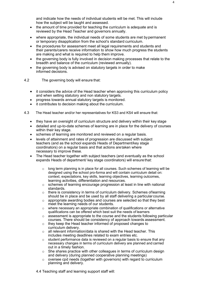and indicate how the needs of individual students will be met. This will include how the subject will be taught and assessed.

- the amount of time provided for teaching the curriculum is adequate and is reviewed by the Head Teacher and governors annually.
- where appropriate, the individual needs of some students are met bypermanent or temporary disapplication from the school's standard curriculum.
- the procedures for assessment meet all legal requirements and students and their parents/carers receive information to show how much progress the students are making and what is required to help them improve.
- the governing body is fully involved in decision making processes that relate to the breadth and balance of the curriculum (reviewed annually).
- the governing body is advised on statutory targets in order to make informed decisions.

4.2 The governing body will ensure that:

- it considers the advice of the Head teacher when approving this curriculum policy and when setting statutory and non statutory targets.
- progress towards annual statutory targets is monitored.
- it contributes to decision making about the curriculum.
- 4.3 The Head teacher and/or her representatives for KS3 and KS4 will ensure that:
	- they have an oversight of curriculum structure and delivery within their key stage
	- detailed and up-to-date schemes of learning are in place for the delivery of courses within their key stage.
	- schemes of learning are monitored and reviewed on a regular basis.
	- levels of attainment and rates of progression are discussed with subject teachers (and as the school expands Heads of Department/key stage coordinators) on a regular basis and that actions aretaken where necessary to improve these.
	- The Head teacher together with subject teachers (and eventually as the school expands Heads of department/ key stage coordinators) will ensure that:
		- o long term planning is in place for all courses. Such schemes of learning will be designed using the school pro-forma and will contain curriculum detail on: context, expectations, key skills, learning objectives, learning outcomes, learning activities, differentiation and resources.
		- o schemes of learning encourage progression at least in line with national standards.
		- $\circ$  there is consistency in terms of curriculum delivery. Schemes of learning should be in place and be used by all staff delivering a particular course.
		- o appropriate awarding bodies and courses are selected so that they best meet the learning needs of our students.
		- o where necessary an appropriate combination of qualifications or alternative qualifications can be offered which best suit the needs of learners
		- $\circ$  assessment is appropriate to the course and the students following particular courses. There should be consistency of approach towards assessment.
		- o they keep the Head teacher informed of proposed changes to curriculum delivery.
		- $\circ$  all relevant information/data is shared with the Head teacher. This includes meeting deadlines related to exam entries etc.
		- $\circ$  student performance data is reviewed on a regular basis to ensure that any necessary changes in terms of curriculum delivery are planned and carried out in a timely fashion.
		- $\circ$  She shares practice with other colleagues in terms of curriculum design and delivery (during planned cooperative planning meetings)
		- $\circ$  oversee cpd needs (together with governors) with regard to curriculum planning and delivery.

4

4.4 Teaching staff and learning support staff will: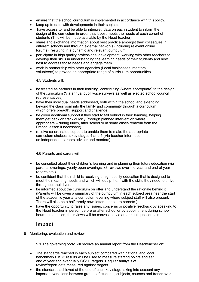- ensure that the school curriculum is implemented in accordance with this policy.
- keep up to date with developments in their subjects.
- have access to, and be able to interpret, data on each student to inform the design of the curriculum in order that it best meets the needs of each cohort of students (This will be made available by the Head teacher).
- share and exchange information about best practice amongst their colleagues in different schools and through external networks (including relevant online forums), resulting in a dynamic and relevant curriculum.
- participate in high quality professional development, working with other teachers to develop their skills in understanding the learning needs of their students and how best to address those needs and engage them.
- work in partnership with other agencies (Local businesses, mentors, volunteers) to provide an appropriate range of curriculum opportunities.

4.5 Students will:

- be treated as partners in their learning, contributing (where appropriate) to the design of the curriculum (Via annual pupil voice surveys as well as elected school council representatives).
- have their individual needs addressed, both within the school and extending beyond the classroom into the family and community through a curriculum which offers breadth, support and challenge.
- be given additional support if they start to fall behind in their learning, helping them get back on track quickly (through planned intervention where appropriate – during lunch, after school or in some cases removal from the French lesson if necessary).
- receive co-ordinated support to enable them to make the appropriate curriculum choices at key stages 4 and 5 (Via teacher information, an independent careers advisor and mentors).

4.6 Parents and carers will:

- be consulted about their children's learning and in planning their future education (via parents' evenings, yearly open evenings, x3 reviews over the year and end of year reports etc.).
- be confident that their child is receiving a high quality education that is designed to meet their learning needs and which will equip them with the skills they need to thrive throughout their lives.
- be informed about the curriculum on offer and understand the rationale behind it (Parents will be given a summary of the curriculum in each subject area near the start of the academic year at a curriculum evening where subject staff will also present. There will also be a half termly newsletter sent out to parents.)
- have the opportunity to raise any issues, concerns or positive feedback by speaking to the Head teacher in person before or after school or by appointment during school hours. In addition, their views will be canvassed via an annual questionnaire.

# **Impact**

5 Monitoring, evaluation and review

5.1 The governing body will receive an annual report from the Headteacher on:

- The standards reached in each subject compared with national and local benchmarks. KS2 results will be used to measure starting points and set end of year and eventually GCSE targets. Regular analysis of review/report data measured against targets.
- the standards achieved at the end of each key stage taking into account any important variations between groups of students, subjects, courses and trendsover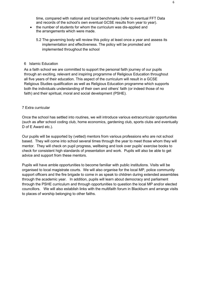time, compared with national and local benchmarks (refer to eventual FFT Data and records of the school's own eventual GCSE results from year to year).

- the number of students for whom the curriculum was dis-applied and the arrangements which were made.
	- 5.2 The governing body will review this policy at least once a year and assess its implementation and effectiveness. The policy will be promoted and implemented throughout the school

#### 6 Islamic Education

As a faith school we are committed to support the personal faith journey of our pupils through an exciting, relevant and inspiring programme of Religious Education throughout all five years of their education. This aspect of the curriculum will result in a GCSE Religious Studies qualification as well as Religious Education programme which supports both the individuals understanding of their own and others' faith (or indeed those of no faith) and their spiritual, moral and social development (PSHE).

#### 7 Extra curricular

Once the school has settled into routines, we will introduce various extracurricular opportunities (such as after school coding club, home economics, gardening club, sports clubs and eventually D of E Award etc.).

Our pupils will be supported by (vetted) mentors from various professions who are not school based. They will come into school several times through the year to meet those whom they will mentor. They will check on pupil progress, wellbeing and look over pupils' exercise books to check for consistent high standards of presentation and work. Pupils will also be able to get advice and support from these mentors.

Pupils will have amble opportunities to become familiar with public institutions. Visits will be organised to local magistrate courts. We will also organise for the local MP, police community support officers and the fire brigade to come in as speak to children during extended assemblies through the academic year. In addition, pupils will learn about democracy and parliament through the PSHE curriculum and through opportunities to question the local MP and/or elected councillors. We will also establish links with the multifaith forum in Blackburn and arrange visits to places of worship belonging to other faiths.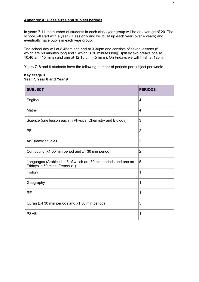#### **Appendix A: Class sizes and subject periods**

In years 7-11 the number of students in each class/year group will be an average of 20. The school will start with a year 7 class only and will build up each year (over 4 years) and eventually have pupils in each year group.

The school day will at 8.45am and end at 3.30pm and consists of seven lessons (6 which are 50 minutes long and 1 which is 30 minutes long) split by two breaks one at 10.40 am (15 mins) and one at 12.15 pm (45 mins). On Fridays we will finish at 12pm.

Years 7, 8 and 9 students have the following number of periods per subject per week:

#### **Key Stage 3 Year 7, Year 8 and Year 9**

| <b>SUBJECT</b>                                                                                      | <b>PERIODS</b> |
|-----------------------------------------------------------------------------------------------------|----------------|
| English                                                                                             | $\overline{4}$ |
| <b>Maths</b>                                                                                        | 4              |
| Science (one lesson each in Physics, Chemistry and Biology)                                         | 3              |
| <b>PE</b>                                                                                           | $\overline{2}$ |
| <b>Art/Islamic Studies</b>                                                                          | $\overline{2}$ |
| Computing (x1 50 min period and x1 30 min period)                                                   | $\overline{2}$ |
| Languages (Arabic $x4 - 3$ of which are 50 min periods and one on<br>Fridays is 60 mins, French x1) | 5              |
| <b>History</b>                                                                                      | $\overline{1}$ |
| Geography                                                                                           | $\overline{1}$ |
| <b>RE</b>                                                                                           | $\overline{1}$ |
| Quran (x4 30 min periods and x1 50 min period)                                                      | 5              |
| <b>PSHE</b>                                                                                         | $\mathbf 1$    |